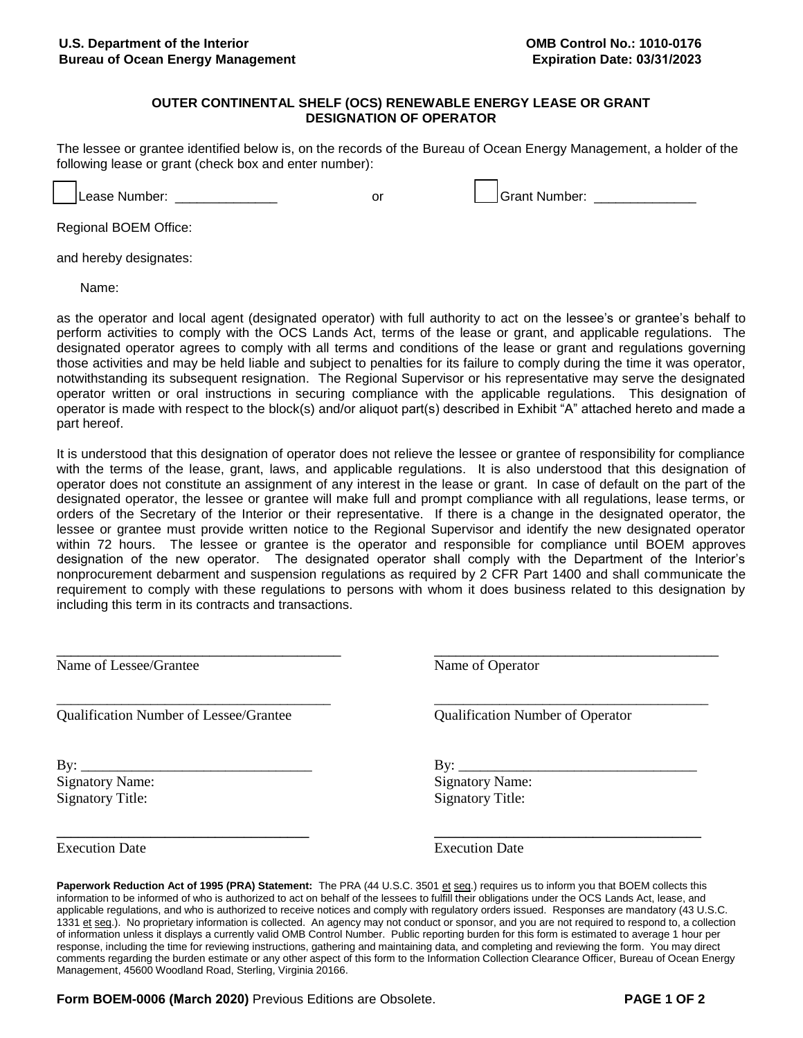## **OUTER CONTINENTAL SHELF (OCS) RENEWABLE ENERGY LEASE OR GRANT DESIGNATION OF OPERATOR**

The lessee or grantee identified below is, on the records of the Bureau of Ocean Energy Management, a holder of the following lease or grant (check box and enter number):

□ Lease Number: \_\_\_\_\_\_\_\_\_\_\_\_\_\_ or □ Grant Number: \_\_\_\_\_\_\_\_\_\_\_\_\_\_

Regional BOEM Office:

and hereby designates:

Name:

as the operator and local agent (designated operator) with full authority to act on the lessee's or grantee's behalf to perform activities to comply with the OCS Lands Act, terms of the lease or grant, and applicable regulations. The designated operator agrees to comply with all terms and conditions of the lease or grant and regulations governing those activities and may be held liable and subject to penalties for its failure to comply during the time it was operator, notwithstanding its subsequent resignation. The Regional Supervisor or his representative may serve the designated operator written or oral instructions in securing compliance with the applicable regulations. This designation of operator is made with respect to the block(s) and/or aliquot part(s) described in Exhibit "A" attached hereto and made a part hereof.

It is understood that this designation of operator does not relieve the lessee or grantee of responsibility for compliance with the terms of the lease, grant, laws, and applicable regulations. It is also understood that this designation of operator does not constitute an assignment of any interest in the lease or grant. In case of default on the part of the designated operator, the lessee or grantee will make full and prompt compliance with all regulations, lease terms, or orders of the Secretary of the Interior or their representative. If there is a change in the designated operator, the lessee or grantee must provide written notice to the Regional Supervisor and identify the new designated operator within 72 hours. The lessee or grantee is the operator and responsible for compliance until BOEM approves designation of the new operator. The designated operator shall comply with the Department of the Interior's nonprocurement debarment and suspension regulations as required by 2 CFR Part 1400 and shall communicate the requirement to comply with these regulations to persons with whom it does business related to this designation by including this term in its contracts and transactions.

\_\_\_\_\_\_\_\_\_\_\_\_\_\_\_\_\_\_\_\_\_\_\_\_\_\_\_\_\_\_\_\_\_\_\_\_\_\_\_ \_\_\_\_\_\_\_\_\_\_\_\_\_\_\_\_\_\_\_\_\_\_\_\_\_\_\_\_\_\_\_\_\_\_\_\_\_\_\_

| Name of Lessee/Grantee |  |
|------------------------|--|
|------------------------|--|

Qualification Number of Lessee/Grantee Qualification Number of Operator

\_\_\_\_\_\_\_\_\_\_\_\_\_\_\_\_\_\_\_\_\_\_\_\_\_\_\_\_\_\_\_\_\_\_\_\_\_\_ \_\_\_\_\_\_\_\_\_\_\_\_\_\_\_\_\_\_\_\_\_\_\_\_\_\_\_\_\_\_\_\_\_\_\_\_\_\_

By: \_\_\_\_\_\_\_\_\_\_\_\_\_\_\_\_\_\_\_\_\_\_\_\_\_\_\_\_\_\_\_\_ By: \_\_\_\_\_\_\_\_\_\_\_\_\_\_\_\_\_\_\_\_\_\_\_\_\_\_\_\_\_\_\_\_\_ Signatory Name: Signatory Name: Signatory Title: Signatory Title:

Name of Operator

Execution Date Execution Date

**Paperwork Reduction Act of 1995 (PRA) Statement:** The PRA (44 U.S.C. 3501 et seq.) requires us to inform you that BOEM collects this information to be informed of who is authorized to act on behalf of the lessees to fulfill their obligations under the OCS Lands Act, lease, and applicable regulations, and who is authorized to receive notices and comply with regulatory orders issued. Responses are mandatory (43 U.S.C. 1331 et seq.). No proprietary information is collected. An agency may not conduct or sponsor, and you are not required to respond to, a collection of information unless it displays a currently valid OMB Control Number. Public reporting burden for this form is estimated to average 1 hour per response, including the time for reviewing instructions, gathering and maintaining data, and completing and reviewing the form. You may direct comments regarding the burden estimate or any other aspect of this form to the Information Collection Clearance Officer, Bureau of Ocean Energy Management, 45600 Woodland Road, Sterling, Virginia 20166.

**\_\_\_\_\_\_\_\_\_\_\_\_\_\_\_\_\_\_\_\_\_\_\_\_\_\_\_\_\_\_\_\_\_\_\_ \_\_\_\_\_\_\_\_\_\_\_\_\_\_\_\_\_\_\_\_\_\_\_\_\_\_\_\_\_\_\_\_\_\_\_\_\_** 

**Form BOEM-0006 (March 2020)** Previous Editions are Obsolete. **PAGE 1 OF 2**